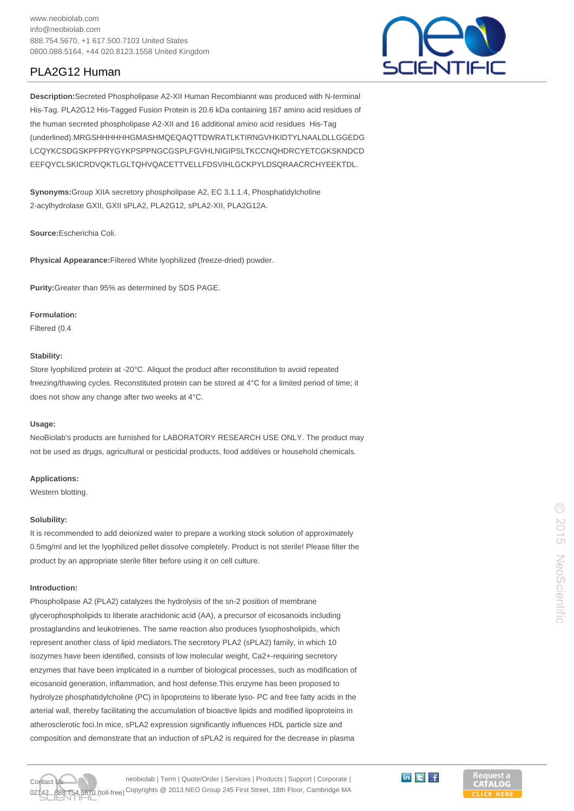0800.088.5164, +44 020.8123.1558 United Kingdom

# PLA2G12 Human



**Description:**Secreted Phospholipase A2-XII Human Recombiannt was produced with N-terminal His-Tag. PLA2G12 His-Tagged Fusion Protein is 20.6 kDa containing 167 amino acid residues of the human secreted phospholipase A2-XII and 16 additional amino acid residues His-Tag (underlined).MRGSHHHHHHGMASHMQEQAQTTDWRATLKTIRNGVHKIDTYLNAALDLLGGEDG LCQYKCSDGSKPFPRYGYKPSPPNGCGSPLFGVHLNIGIPSLTKCCNQHDRCYETCGKSKNDCD EEFQYCLSKICRDVQKTLGLTQHVQACETTVELLFDSVIHLGCKPYLDSQRAACRCHYEEKTDL.

**Synonyms:**Group XIIA secretory phospholipase A2, EC 3.1.1.4, Phosphatidylcholine 2-acylhydrolase GXII, GXII sPLA2, PLA2G12, sPLA2-XII, PLA2G12A.

**Source:**Escherichia Coli.

**Physical Appearance:**Filtered White lyophilized (freeze-dried) powder.

**Purity:**Greater than 95% as determined by SDS PAGE.

### **Formulation:**

Filtered (0.4

## **Stability:**

Store lyophilized protein at -20°C. Aliquot the product after reconstitution to avoid repeated freezing/thawing cycles. Reconstituted protein can be stored at 4°C for a limited period of time; it does not show any change after two weeks at 4°C.

### **Usage:**

NeoBiolab's products are furnished for LABORATORY RESEARCH USE ONLY. The product may not be used as drµgs, agricultural or pesticidal products, food additives or household chemicals.

## **Applications:**

Western blotting.

#### **Solubility:**

It is recommended to add deionized water to prepare a working stock solution of approximately 0.5mg/ml and let the lyophilized pellet dissolve completely. Product is not sterile! Please filter the product by an appropriate sterile filter before using it on cell culture.

## **Introduction:**

Phospholipase A2 (PLA2) catalyzes the hydrolysis of the sn-2 position of membrane glycerophospholipids to liberate arachidonic acid (AA), a precursor of eicosanoids including prostaglandins and leukotrienes. The same reaction also produces lysophosholipids, which represent another class of lipid mediators.The secretory PLA2 (sPLA2) family, in which 10 isozymes have been identified, consists of low molecular weight, Ca2+-requiring secretory enzymes that have been implicated in a number of biological processes, such as modification of eicosanoid generation, inflammation, and host defense.This enzyme has been proposed to hydrolyze phosphatidylcholine (PC) in lipoproteins to liberate lyso- PC and free fatty acids in the arterial wall, thereby facilitating the accumulation of bioactive lipids and modified lipoproteins in atherosclerotic foci.In mice, sPLA2 expression significantly influences HDL particle size and composition and demonstrate that an induction of sPLA2 is required for the decrease in plasma